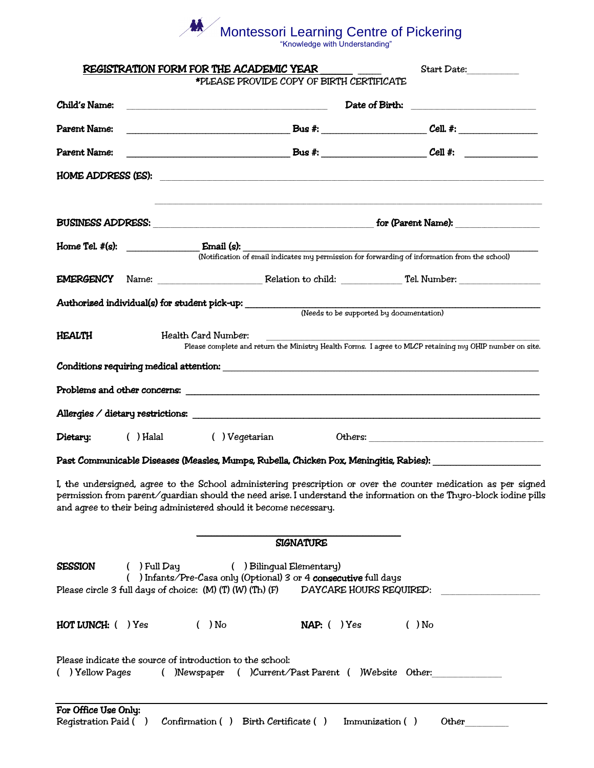## **NA** Montessori Learning Centre of Pickering

"Knowledge with Understanding"

|                          | REGISTRATION FORM FOR THE ACADEMIC YEAR<br>*PLEASE PROVIDE COPY OF BIRTH CERTIFICATE                                                                  | Start Date:                                                                                                                                                                                                                            |
|--------------------------|-------------------------------------------------------------------------------------------------------------------------------------------------------|----------------------------------------------------------------------------------------------------------------------------------------------------------------------------------------------------------------------------------------|
|                          |                                                                                                                                                       |                                                                                                                                                                                                                                        |
| Child's Name:            |                                                                                                                                                       |                                                                                                                                                                                                                                        |
| Parent Name:             |                                                                                                                                                       |                                                                                                                                                                                                                                        |
| Parent Name:             |                                                                                                                                                       |                                                                                                                                                                                                                                        |
|                          | HOME ADDRESS (ES):                                                                                                                                    |                                                                                                                                                                                                                                        |
|                          |                                                                                                                                                       |                                                                                                                                                                                                                                        |
|                          |                                                                                                                                                       |                                                                                                                                                                                                                                        |
|                          |                                                                                                                                                       | (Notification of email indicates my permission for forwarding of information from the school)                                                                                                                                          |
|                          | EMERGENCY Name: Relation to child: Tel. Number:                                                                                                       |                                                                                                                                                                                                                                        |
|                          | Authorized individual(s) for student pick-up: __________                                                                                              | (Needs to be supported by documentation)                                                                                                                                                                                               |
|                          |                                                                                                                                                       |                                                                                                                                                                                                                                        |
| HEALTH                   | Health Card Number:                                                                                                                                   | Please complete and return the Ministry Health Forms. I agree to MLCP retaining my OHIP number on site.                                                                                                                                |
|                          |                                                                                                                                                       |                                                                                                                                                                                                                                        |
|                          |                                                                                                                                                       |                                                                                                                                                                                                                                        |
|                          |                                                                                                                                                       |                                                                                                                                                                                                                                        |
|                          |                                                                                                                                                       |                                                                                                                                                                                                                                        |
| Dietary:                 | () Halal () Veqetarian                                                                                                                                |                                                                                                                                                                                                                                        |
|                          |                                                                                                                                                       | Past Communicable Diseases (Measles, Mumps, Rubella, Chicken Pox, Meningitis, Rabies): www.www.www.w                                                                                                                                   |
|                          | and agree to their being administered should it become necessary.                                                                                     | I, the undersigned, agree to the School administering prescription or over the counter medication as per signed<br>permission from parent/quardian should the need arise. I understand the information on the Thyro-block iodine pills |
|                          | <b>SIGNATURE</b>                                                                                                                                      |                                                                                                                                                                                                                                        |
| <b>SESSION</b>           | $( )$ Full Day<br>( ) Bilinqual Elementary)                                                                                                           |                                                                                                                                                                                                                                        |
|                          | () Infants/Pre-Casa only (Optional) 3 or 4 consecutive full days<br>Please circle 3 full days of choice: (M) (T) (W) (Th) (F) DAYCARE HOURS REQUIRED: |                                                                                                                                                                                                                                        |
| $HOT$ LUNCH: $($ $)$ Yes | $( )$ No<br>$NAP:$ ( ) $Yes$                                                                                                                          | $( )$ No                                                                                                                                                                                                                               |
| ( ) Yellow Pages         | Please indicate the source of introduction to the school:<br>( )Newspaper ( )Current/Past Parent ( )Website Other:                                    |                                                                                                                                                                                                                                        |
| For Office Use Only:     |                                                                                                                                                       |                                                                                                                                                                                                                                        |
|                          | Registration Paid () Confirmation () Birth Certificate ()                                                                                             | Immunization ()<br>Other                                                                                                                                                                                                               |